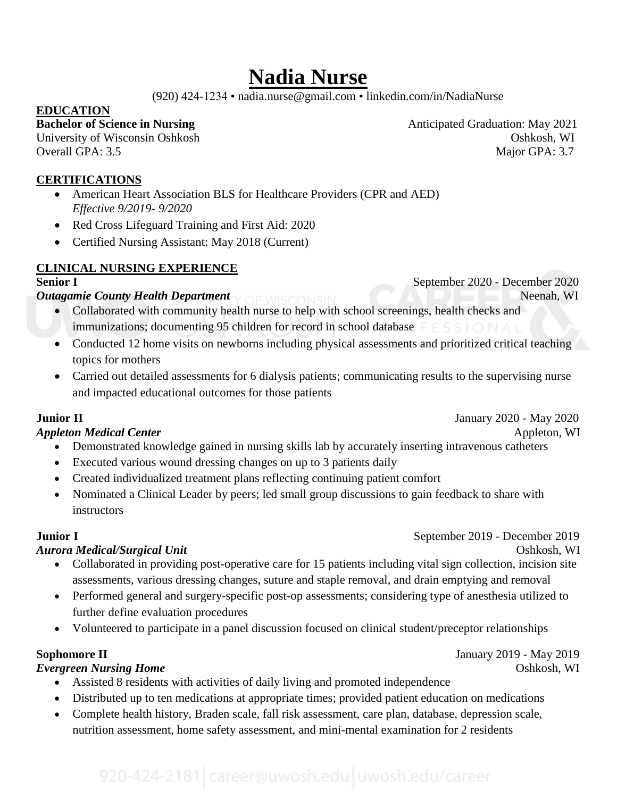# **Nadia Nurse**

(920) 424-1234 • nadia.nurse@gmail.com • linkedin.com/in/NadiaNurse

#### **EDUCATION**

#### **Bachelor of Science in Nursing** <br> **Bachelor of Science in Nursing Anticipated Graduation:** May 2021

University of Wisconsin Oshkosh Oshkosh, WI Overall GPA: 3.5 Major GPA: 3.7

**CERTIFICATIONS**

- American Heart Association BLS for Healthcare Providers (CPR and AED) *Effective 9/2019- 9/2020*
- Red Cross Lifeguard Training and First Aid: 2020
- Certified Nursing Assistant: May 2018 (Current)

### **CLINICAL NURSING EXPERIENCE**

*Outagamie County Health Department* **Neenah, WI Neenah, WI** 

- Collaborated with community health nurse to help with school screenings, health checks and immunizations; documenting 95 children for record in school database  $F \in S S \cap A$
- Conducted 12 home visits on newborns including physical assessments and prioritized critical teaching topics for mothers
- Carried out detailed assessments for 6 dialysis patients; communicating results to the supervising nurse and impacted educational outcomes for those patients

### **Junior II January 2020 - May 2020**

### *Appleton Medical Center* **Appleton, WI** *Appleton, WI Appleton, WI*

- Demonstrated knowledge gained in nursing skills lab by accurately inserting intravenous catheters
- Executed various wound dressing changes on up to 3 patients daily
- Created individualized treatment plans reflecting continuing patient comfort
- Nominated a Clinical Leader by peers; led small group discussions to gain feedback to share with instructors

### *Aurora Medical/Surgical Unit*Oshkosh, WI

- Collaborated in providing post-operative care for 15 patients including vital sign collection, incision site assessments, various dressing changes, suture and staple removal, and drain emptying and removal
- Performed general and surgery-specific post-op assessments; considering type of anesthesia utilized to further define evaluation procedures
- Volunteered to participate in a panel discussion focused on clinical student/preceptor relationships

### **Sophomore II January 2019** - May 2019

*Evergreen Nursing Home Oshkosh, WI**<b>Oshkosh, WI <i>Oshkosh, WI Oshkosh, WI Oshkosh, WI Oshkosh, WI Oshkosh, WI Oshkosh, WI Oshkosh, WI Oshkosh, WI Oshkosh, WI Oshkosh, WI Osh* 

- Assisted 8 residents with activities of daily living and promoted independence
- Distributed up to ten medications at appropriate times; provided patient education on medications
- Complete health history, Braden scale, fall risk assessment, care plan, database, depression scale, nutrition assessment, home safety assessment, and mini-mental examination for 2 residents

920-424-2181 career@uwosh.edu uwosh.edu/career

**Junior I** September 2019 - December 2019

**Senior I** September 2020 - December 2020